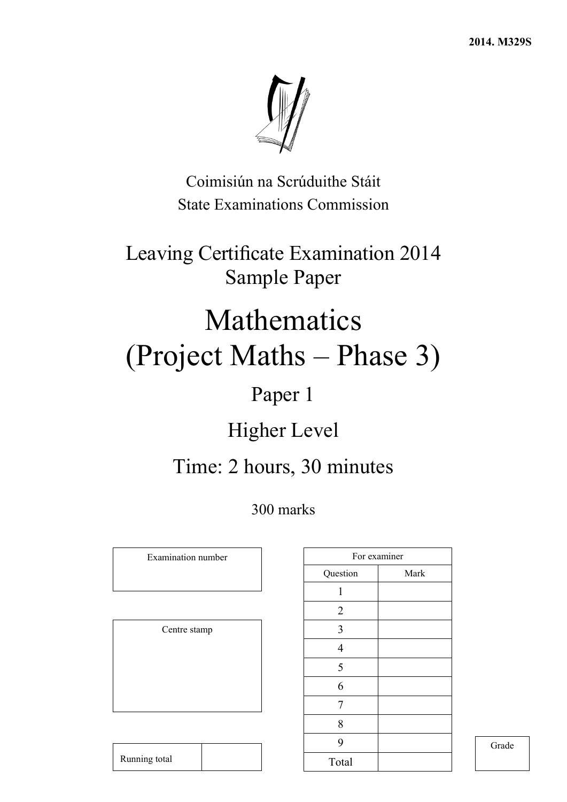

Coimisiún na Scrúduithe Stáit State Examinations Commission

Leaving Certificate Examination 2014 Sample Paper

# Mathematics (Project Maths – Phase 3)

## Paper 1

## Higher Level

## Time: 2 hours, 30 minutes

300 marks

Examination number

Centre stamp

| For examiner   |      |
|----------------|------|
| Question       | Mark |
| 1              |      |
| $\overline{2}$ |      |
| $\mathfrak{Z}$ |      |
| $\overline{4}$ |      |
| 5              |      |
| 6              |      |
| 7              |      |
| 8              |      |
| 9              |      |
| Total          |      |

Grade

| Running total |
|---------------|
|---------------|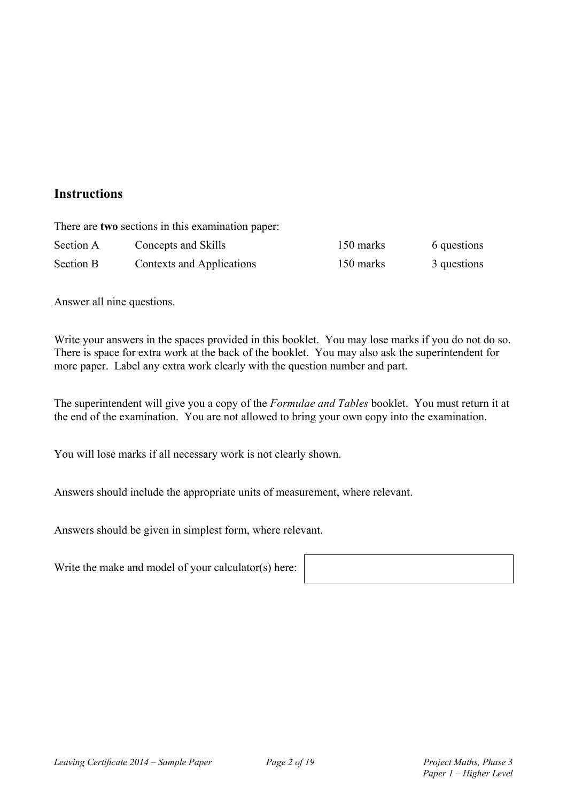### **Instructions**

|           | There are two sections in this examination paper: |           |             |
|-----------|---------------------------------------------------|-----------|-------------|
| Section A | Concepts and Skills                               | 150 marks | 6 questions |
| Section B | Contexts and Applications                         | 150 marks | 3 questions |

Answer all nine questions.

Write your answers in the spaces provided in this booklet. You may lose marks if you do not do so. There is space for extra work at the back of the booklet. You may also ask the superintendent for more paper. Label any extra work clearly with the question number and part.

The superintendent will give you a copy of the *Formulae and Tables* booklet. You must return it at the end of the examination. You are not allowed to bring your own copy into the examination.

You will lose marks if all necessary work is not clearly shown.

Answers should include the appropriate units of measurement, where relevant.

Answers should be given in simplest form, where relevant.

Write the make and model of your calculator(s) here: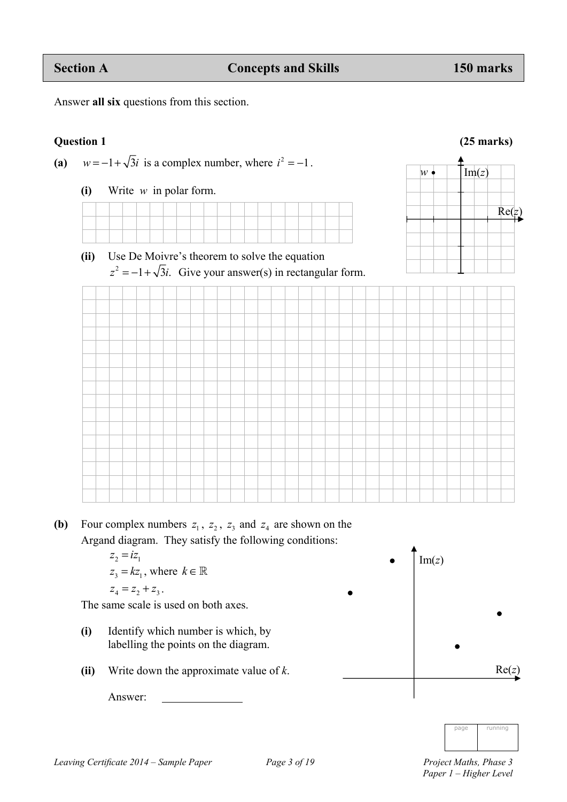**(ii)** Use De Moivre's theorem to solve the equation  $z^2 = -1 + \sqrt{3}i$ . Give your answer(s) in rectangular form.

**(b)** Four complex numbers  $z_1$ ,  $z_2$ ,  $z_3$  and  $z_4$  are shown on the Argand diagram. They satisfy the following conditions:

$$
z_2 = iz_1
$$
  
\n
$$
z_3 = kz_1, \text{ where } k \in \mathbb{R}
$$
  
\n
$$
z_4 = z_2 + z_3.
$$

The same scale is used on both axes.

- **(i)** Identify which number is which, by labelling the points on the diagram.
- **(ii)** Write down the approximate value of *k*.

Answer:



page running



(a)  $w = -1 + \sqrt{3}i$  is a complex number, where  $i^2 = -1$ .

**(i)** Write *w* in polar form.







 $Im(z)$ Re(*z*)

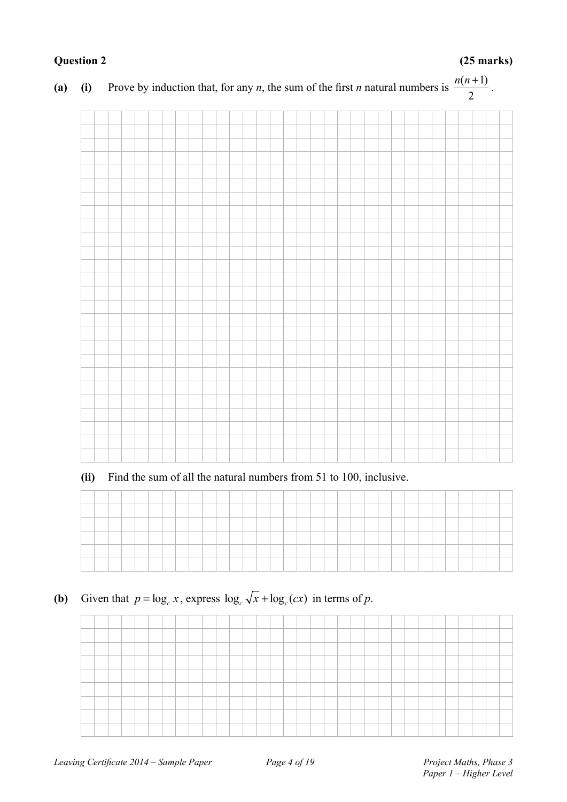**(a) (i)** Prove by induction that, for any *n*, the sum of the first *n* natural numbers is  $\frac{n(n+1)}{2}$ 2  $\frac{n(n+1)}{2}$ .

**(ii)** Find the sum of all the natural numbers from 51 to 100, inclusive.

| _____ |  | ______ |  |  |  |        | <b>STATISTICS</b> |  |  | _____  |  |  |  |  |  | ____ |  |
|-------|--|--------|--|--|--|--------|-------------------|--|--|--------|--|--|--|--|--|------|--|
|       |  |        |  |  |  |        |                   |  |  | ______ |  |  |  |  |  |      |  |
|       |  |        |  |  |  | ______ |                   |  |  |        |  |  |  |  |  |      |  |
|       |  |        |  |  |  |        |                   |  |  |        |  |  |  |  |  |      |  |
|       |  |        |  |  |  |        |                   |  |  |        |  |  |  |  |  |      |  |

**(b)** Given that  $p = \log_e x$ , express  $\log_e \sqrt{x} + \log_e (cx)$  in terms of *p*.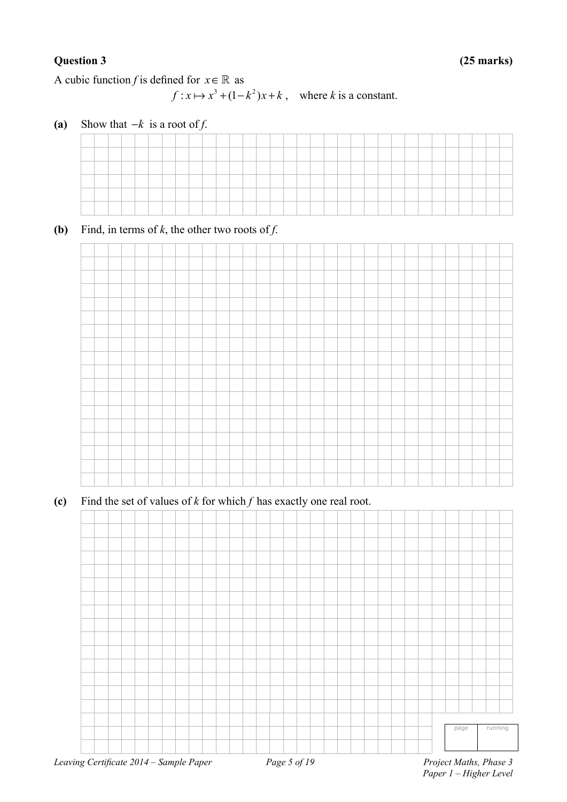A cubic function *f* is defined for  $x \in \mathbb{R}$  as

 $f: x \mapsto x^3 + (1 - k^2)x + k$ , where *k* is a constant.

**(a)** Show that −*k* is a root of *f*.

**(b)** Find, in terms of  $k$ , the other two roots of  $f$ .



**(c)** Find the set of values of *k* for which *f* has exactly one real root.

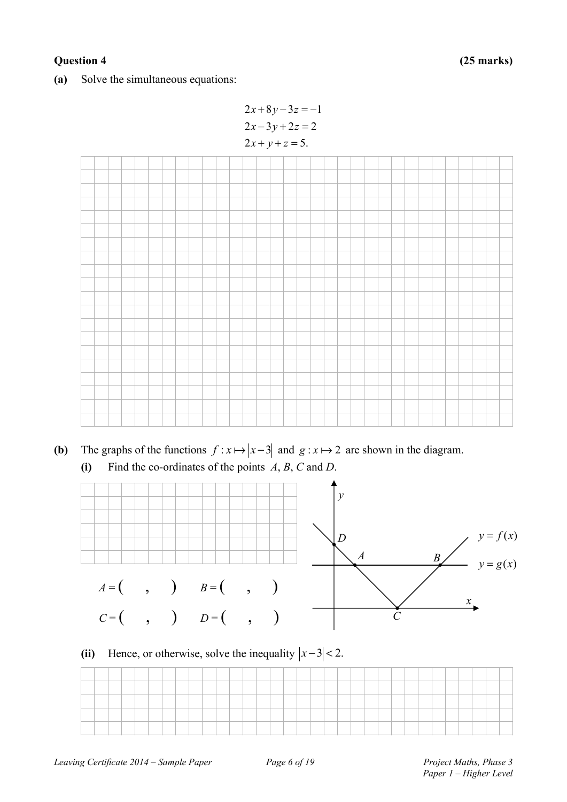#### **Question 4 (25 marks)**

**(a)** Solve the simultaneous equations:

```
2x+8y-3z=-12x-3y+2z=22x + y + z = 5.
```


- **(b)** The graphs of the functions  $f: x \mapsto |x-3|$  and  $g: x \mapsto 2$  are shown in the diagram.
	- **(i)** Find the co-ordinates of the points *A*, *B*, *C* and *D*.



### (ii) Hence, or otherwise, solve the inequality  $|x-3| < 2$ .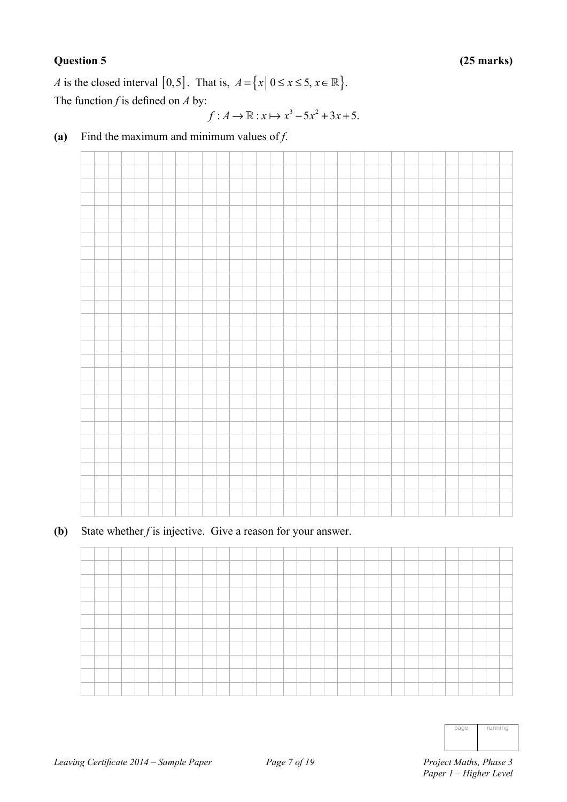#### **Question 5 (25 marks)**

*A* is the closed interval [0,5]. That is,  $A = \{x | 0 \le x \le 5, x \in \mathbb{R} \}.$ The function *f* is defined on *A* by:

$$
f: A \to \mathbb{R}: x \mapsto x^3 - 5x^2 + 3x + 5.
$$

- 
- **(a)** Find the maximum and minimum values of *f*.

**(b)** State whether *f* is injective. Give a reason for your answer.



| page | running |
|------|---------|
|      |         |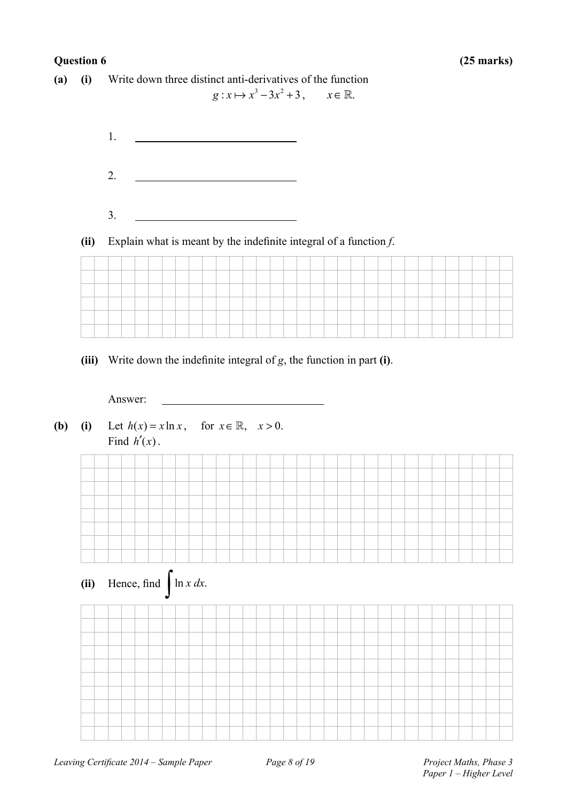#### **Question 6 (25 marks)**

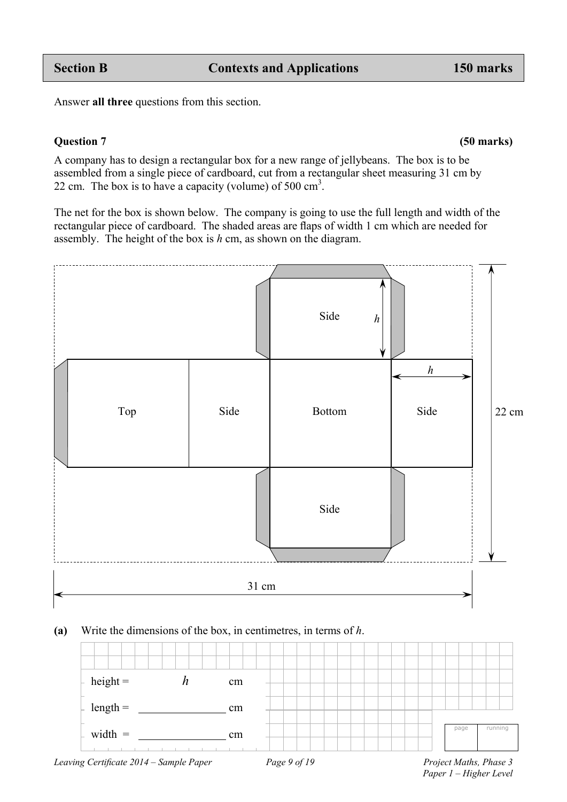Answer **all three** questions from this section.

#### **Question 7 (50 marks)**

A company has to design a rectangular box for a new range of jellybeans. The box is to be assembled from a single piece of cardboard, cut from a rectangular sheet measuring 31 cm by 22 cm. The box is to have a capacity (volume) of  $500 \text{ cm}^3$ .

The net for the box is shown below. The company is going to use the full length and width of the rectangular piece of cardboard. The shaded areas are flaps of width 1 cm which are needed for assembly. The height of the box is *h* cm, as shown on the diagram.



#### **(a)** Write the dimensions of the box, in centimetres, in terms of *h*.



 *Paper 1 – Higher Level*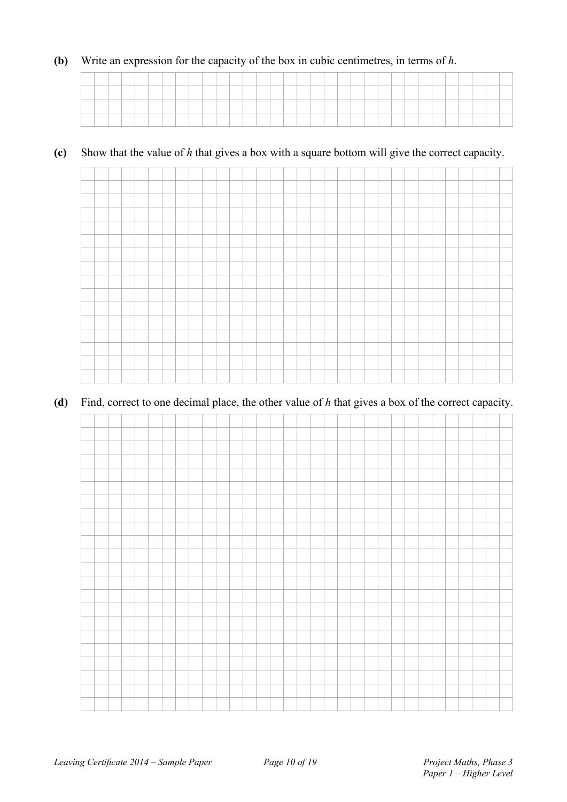#### **(b)** Write an expression for the capacity of the box in cubic centimetres, in terms of *h*.

### **(c)** Show that the value of *h* that gives a box with a square bottom will give the correct capacity.



#### **(d)** Find, correct to one decimal place, the other value of *h* that gives a box of the correct capacity.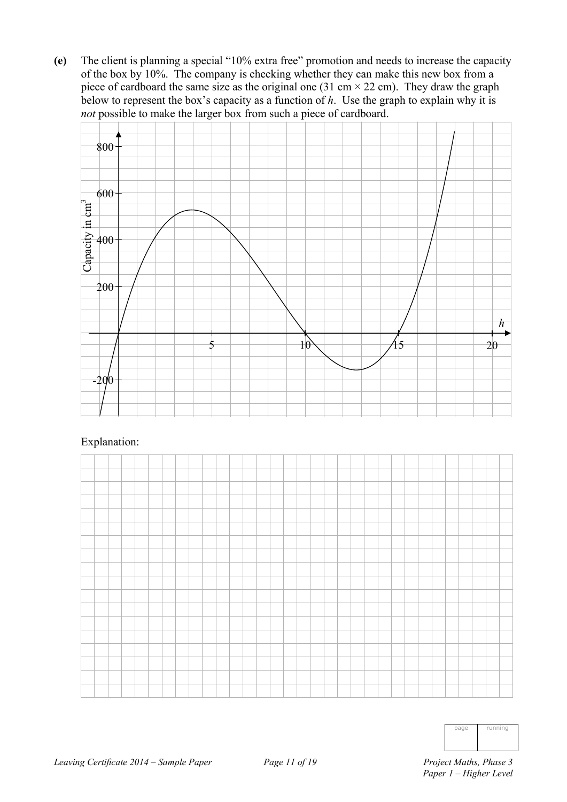**(e)** The client is planning a special "10% extra free" promotion and needs to increase the capacity of the box by 10%. The company is checking whether they can make this new box from a piece of cardboard the same size as the original one (31 cm  $\times$  22 cm). They draw the graph below to represent the box's capacity as a function of *h*. Use the graph to explain why it is *not* possible to make the larger box from such a piece of cardboard.



#### Explanation:



| ı | running |
|---|---------|
|   |         |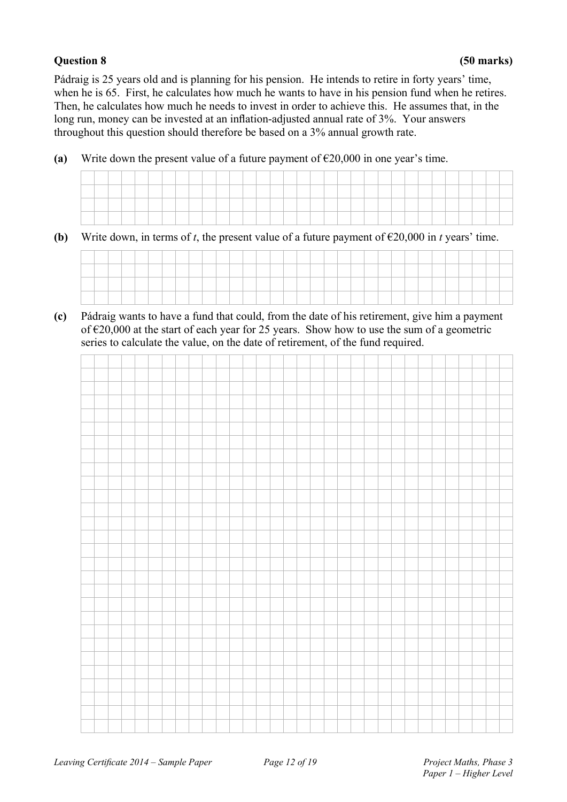Pádraig is 25 years old and is planning for his pension. He intends to retire in forty years' time, when he is 65. First, he calculates how much he wants to have in his pension fund when he retires. Then, he calculates how much he needs to invest in order to achieve this. He assumes that, in the long run, money can be invested at an inflation-adjusted annual rate of 3%. Your answers throughout this question should therefore be based on a 3% annual growth rate.

**(a)** Write down the present value of a future payment of  $\epsilon$ 20,000 in one year's time.

| __ |  |  |  |  |  |  |  |  |  |  |  |  |  |  |  |  |
|----|--|--|--|--|--|--|--|--|--|--|--|--|--|--|--|--|
|    |  |  |  |  |  |  |  |  |  |  |  |  |  |  |  |  |
|    |  |  |  |  |  |  |  |  |  |  |  |  |  |  |  |  |
|    |  |  |  |  |  |  |  |  |  |  |  |  |  |  |  |  |
|    |  |  |  |  |  |  |  |  |  |  |  |  |  |  |  |  |
|    |  |  |  |  |  |  |  |  |  |  |  |  |  |  |  |  |
|    |  |  |  |  |  |  |  |  |  |  |  |  |  |  |  |  |

**(b)** Write down, in terms of *t*, the present value of a future payment of  $\epsilon$ 20,000 in *t* years' time.



**(c)** Pádraig wants to have a fund that could, from the date of his retirement, give him a payment of €20,000 at the start of each year for 25 years. Show how to use the sum of a geometric series to calculate the value, on the date of retirement, of the fund required.

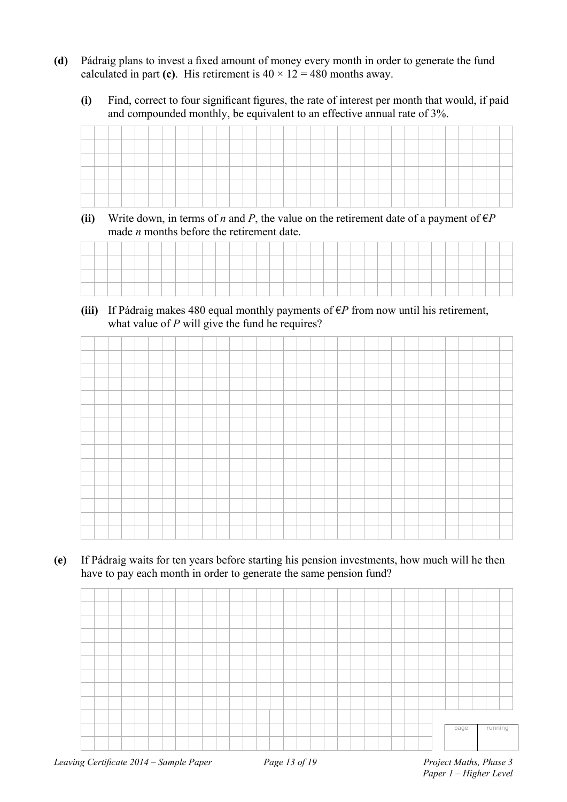- **(d)** Pádraig plans to invest a fixed amount of money every month in order to generate the fund calculated in part (c). His retirement is  $40 \times 12 = 480$  months away.
	- **(i)** Find, correct to four significant figures, the rate of interest per month that would, if paid and compounded monthly, be equivalent to an effective annual rate of 3%.

| <b>Services</b> |  |  |  |  |  |  |  |    |  |  |  |  |  |  |  |  |
|-----------------|--|--|--|--|--|--|--|----|--|--|--|--|--|--|--|--|
|                 |  |  |  |  |  |  |  | __ |  |  |  |  |  |  |  |  |
| --              |  |  |  |  |  |  |  |    |  |  |  |  |  |  |  |  |
|                 |  |  |  |  |  |  |  |    |  |  |  |  |  |  |  |  |

**(ii)** Write down, in terms of *n* and *P*, the value on the retirement date of a payment of  $\epsilon P$ made *n* months before the retirement date.

(iii) If Pádraig makes 480 equal monthly payments of  $\epsilon P$  from now until his retirement, what value of *P* will give the fund he requires?

**(e)** If Pádraig waits for ten years before starting his pension investments, how much will he then have to pay each month in order to generate the same pension fund?

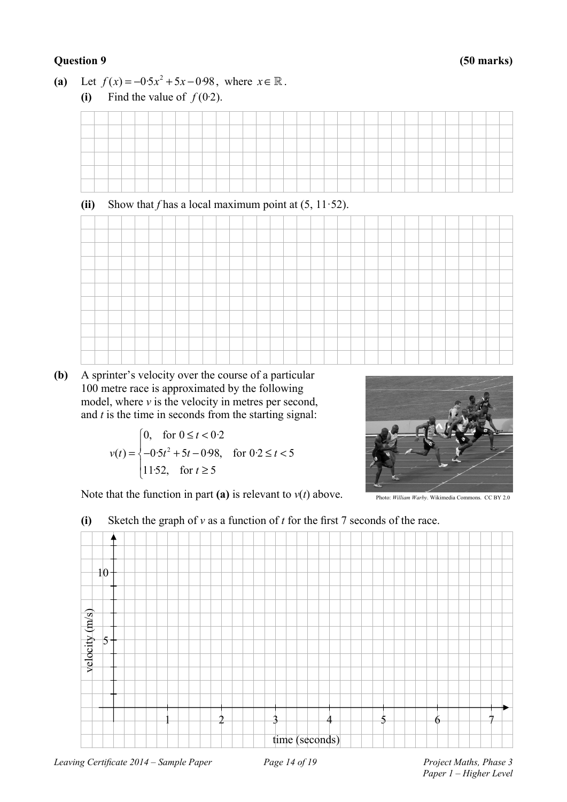#### **Question 9 (50 marks)**

(a) Let  $f(x) = -0.5x^2 + 5x - 0.98$ , where  $x \in \mathbb{R}$ . **(i)** Find the value of  $f(0.2)$ .

| (ii) |  | Show that f has a local maximum point at $(5, 11.52)$ . |  |  |  |  |  |  |  |  |  |  |  |  |  |  |
|------|--|---------------------------------------------------------|--|--|--|--|--|--|--|--|--|--|--|--|--|--|
|      |  |                                                         |  |  |  |  |  |  |  |  |  |  |  |  |  |  |
|      |  |                                                         |  |  |  |  |  |  |  |  |  |  |  |  |  |  |
|      |  |                                                         |  |  |  |  |  |  |  |  |  |  |  |  |  |  |
|      |  |                                                         |  |  |  |  |  |  |  |  |  |  |  |  |  |  |
|      |  |                                                         |  |  |  |  |  |  |  |  |  |  |  |  |  |  |
|      |  |                                                         |  |  |  |  |  |  |  |  |  |  |  |  |  |  |
|      |  |                                                         |  |  |  |  |  |  |  |  |  |  |  |  |  |  |
|      |  |                                                         |  |  |  |  |  |  |  |  |  |  |  |  |  |  |
|      |  |                                                         |  |  |  |  |  |  |  |  |  |  |  |  |  |  |
|      |  |                                                         |  |  |  |  |  |  |  |  |  |  |  |  |  |  |

**(b)** A sprinter's velocity over the course of a particular 100 metre race is approximated by the following model, where *v* is the velocity in metres per second, and *t* is the time in seconds from the starting signal:

 $v(t) = \{-0.5t^2\}$ 0, for  $0 \le t < 0.2$  $(t) = \{-0.5t^2 + 5t - 0.98, \text{ for } 0.2 \le t < 5$ 11.52, for  $t \geq 5$ *t*  $v(t) = \{-0.5t^2 + 5t - 0.98, \text{ for } 0.2 \leq t$ *t*  $\begin{cases} 0, & \text{for } 0 \leq t < \end{cases}$  $=\begin{cases}\n-0.5t^2 + 5t - 0.98, & \text{for } 0.2 \leq t \leq 0\n\end{cases}$  $\begin{cases} 11.52, & \text{for } t \geq 1 \end{cases}$ 



Note that the function in part (a) is relevant to  $v(t)$  above.

### **(i)** Sketch the graph of *v* as a function of *t* for the first 7 seconds of the race.

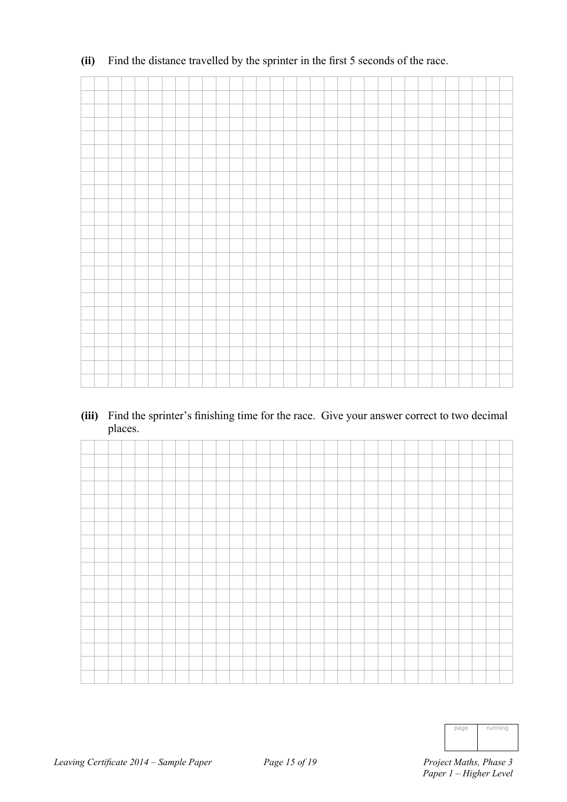### **(ii)** Find the distance travelled by the sprinter in the first 5 seconds of the race.

**(iii)** Find the sprinter's finishing time for the race. Give your answer correct to two decimal places.

| page | running |
|------|---------|
|      |         |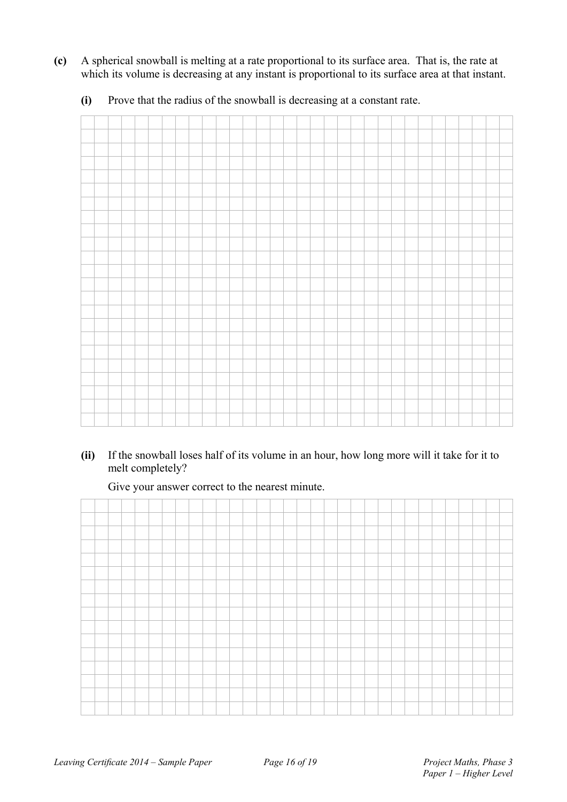**(c)** A spherical snowball is melting at a rate proportional to its surface area. That is, the rate at which its volume is decreasing at any instant is proportional to its surface area at that instant.

**(i)** Prove that the radius of the snowball is decreasing at a constant rate.

**(ii)** If the snowball loses half of its volume in an hour, how long more will it take for it to melt completely?

Give your answer correct to the nearest minute.

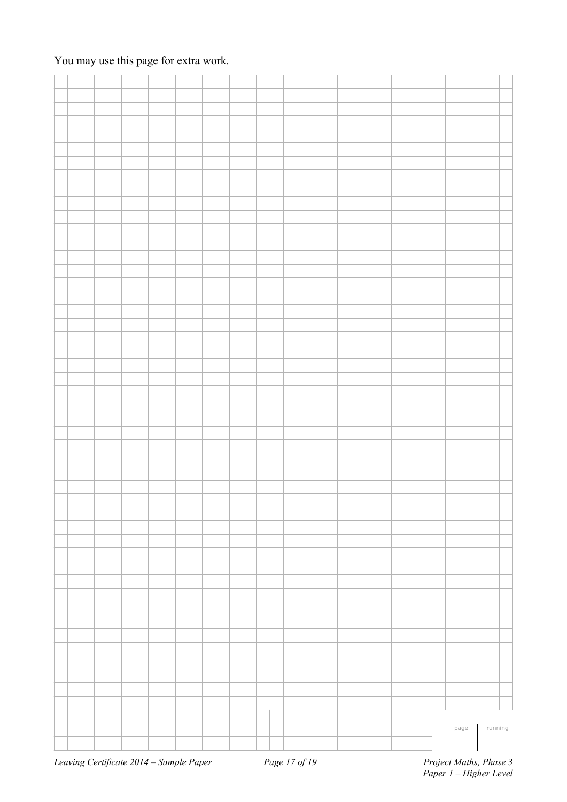### You may use this page for extra work.

|  |  |  |  |  |  |  |  |  |  |  |  |  |  |  | page | running |  |
|--|--|--|--|--|--|--|--|--|--|--|--|--|--|--|------|---------|--|
|  |  |  |  |  |  |  |  |  |  |  |  |  |  |  |      |         |  |
|  |  |  |  |  |  |  |  |  |  |  |  |  |  |  |      |         |  |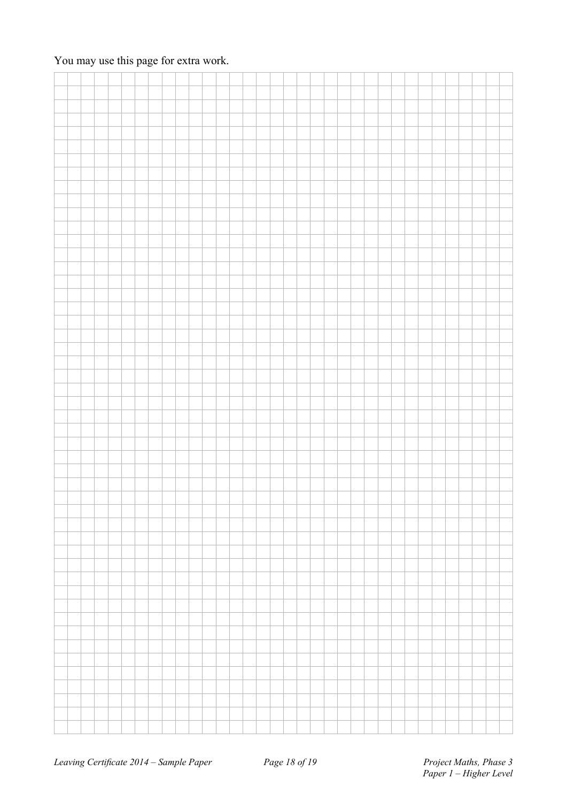### You may use this page for extra work.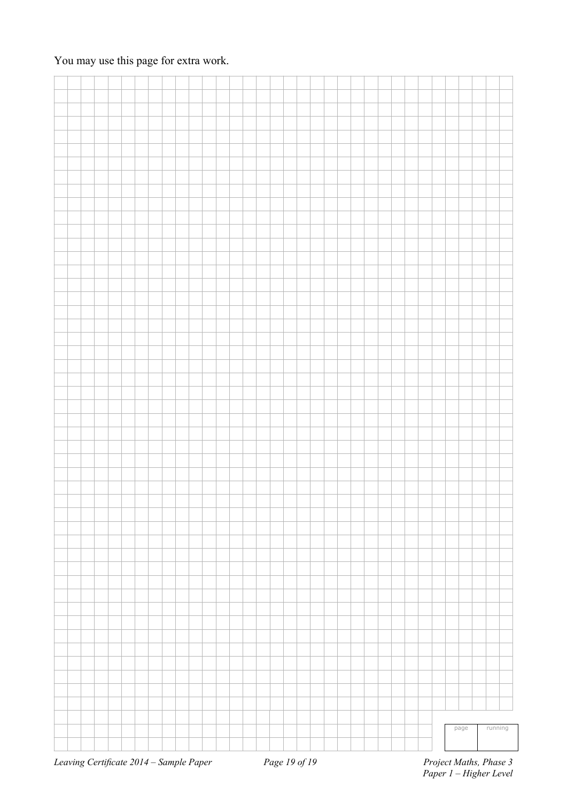### You may use this page for extra work.

|  |                                       |  |  |  |  |  |  |  |                                   |  |  |  |  |  |  | page | running |                                                         |
|--|---------------------------------------|--|--|--|--|--|--|--|-----------------------------------|--|--|--|--|--|--|------|---------|---------------------------------------------------------|
|  |                                       |  |  |  |  |  |  |  |                                   |  |  |  |  |  |  |      |         |                                                         |
|  |                                       |  |  |  |  |  |  |  |                                   |  |  |  |  |  |  |      |         |                                                         |
|  | Leaving Cortificate 2014 Sample Raper |  |  |  |  |  |  |  | $D_{\alpha\alpha\alpha}$ 10 of 10 |  |  |  |  |  |  |      |         | $D_{\text{noise}}$ $M_{\alpha}$ the $D_{\text{base}}$ 2 |

*Leaving Certificate 2014 – Sample Paper Page 19 of 19*